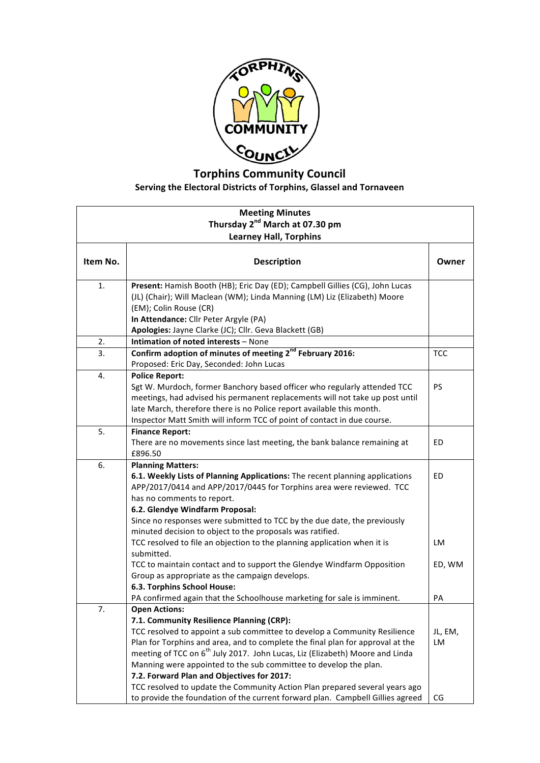

## **Torphins Community Council** Serving the Electoral Districts of Torphins, Glassel and Tornaveen

| <b>Meeting Minutes</b>                     |                                                                                          |            |  |  |
|--------------------------------------------|------------------------------------------------------------------------------------------|------------|--|--|
| Thursday 2 <sup>nd</sup> March at 07.30 pm |                                                                                          |            |  |  |
| <b>Learney Hall, Torphins</b>              |                                                                                          |            |  |  |
| Item No.                                   | <b>Description</b>                                                                       | Owner      |  |  |
|                                            |                                                                                          |            |  |  |
| 1.                                         | Present: Hamish Booth (HB); Eric Day (ED); Campbell Gillies (CG), John Lucas             |            |  |  |
|                                            | (JL) (Chair); Will Maclean (WM); Linda Manning (LM) Liz (Elizabeth) Moore                |            |  |  |
|                                            | (EM); Colin Rouse (CR)                                                                   |            |  |  |
|                                            | In Attendance: Cllr Peter Argyle (PA)                                                    |            |  |  |
|                                            | Apologies: Jayne Clarke (JC); Cllr. Geva Blackett (GB)                                   |            |  |  |
| 2.                                         | Intimation of noted interests - None                                                     |            |  |  |
| 3.                                         | Confirm adoption of minutes of meeting 2 <sup>nd</sup> February 2016:                    | <b>TCC</b> |  |  |
|                                            | Proposed: Eric Day, Seconded: John Lucas                                                 |            |  |  |
| 4.                                         | <b>Police Report:</b>                                                                    |            |  |  |
|                                            | Sgt W. Murdoch, former Banchory based officer who regularly attended TCC                 | <b>PS</b>  |  |  |
|                                            | meetings, had advised his permanent replacements will not take up post until             |            |  |  |
|                                            | late March, therefore there is no Police report available this month.                    |            |  |  |
|                                            | Inspector Matt Smith will inform TCC of point of contact in due course.                  |            |  |  |
| 5.                                         | <b>Finance Report:</b>                                                                   |            |  |  |
|                                            | There are no movements since last meeting, the bank balance remaining at                 | ED         |  |  |
|                                            | £896.50                                                                                  |            |  |  |
| 6.                                         | <b>Planning Matters:</b>                                                                 |            |  |  |
|                                            | 6.1. Weekly Lists of Planning Applications: The recent planning applications             | ED         |  |  |
|                                            | APP/2017/0414 and APP/2017/0445 for Torphins area were reviewed. TCC                     |            |  |  |
|                                            | has no comments to report.                                                               |            |  |  |
|                                            | 6.2. Glendye Windfarm Proposal:                                                          |            |  |  |
|                                            | Since no responses were submitted to TCC by the due date, the previously                 |            |  |  |
|                                            | minuted decision to object to the proposals was ratified.                                |            |  |  |
|                                            | TCC resolved to file an objection to the planning application when it is<br>submitted.   | LM         |  |  |
|                                            | TCC to maintain contact and to support the Glendye Windfarm Opposition                   | ED, WM     |  |  |
|                                            | Group as appropriate as the campaign develops.                                           |            |  |  |
|                                            | 6.3. Torphins School House:                                                              |            |  |  |
|                                            | PA confirmed again that the Schoolhouse marketing for sale is imminent.                  | PA         |  |  |
| 7.                                         | <b>Open Actions:</b>                                                                     |            |  |  |
|                                            | 7.1. Community Resilience Planning (CRP):                                                |            |  |  |
|                                            | TCC resolved to appoint a sub committee to develop a Community Resilience                | JL, EM,    |  |  |
|                                            | Plan for Torphins and area, and to complete the final plan for approval at the           | LM         |  |  |
|                                            | meeting of TCC on 6 <sup>th</sup> July 2017. John Lucas, Liz (Elizabeth) Moore and Linda |            |  |  |
|                                            | Manning were appointed to the sub committee to develop the plan.                         |            |  |  |
|                                            | 7.2. Forward Plan and Objectives for 2017:                                               |            |  |  |
|                                            | TCC resolved to update the Community Action Plan prepared several years ago              |            |  |  |
|                                            | to provide the foundation of the current forward plan. Campbell Gillies agreed           | CG         |  |  |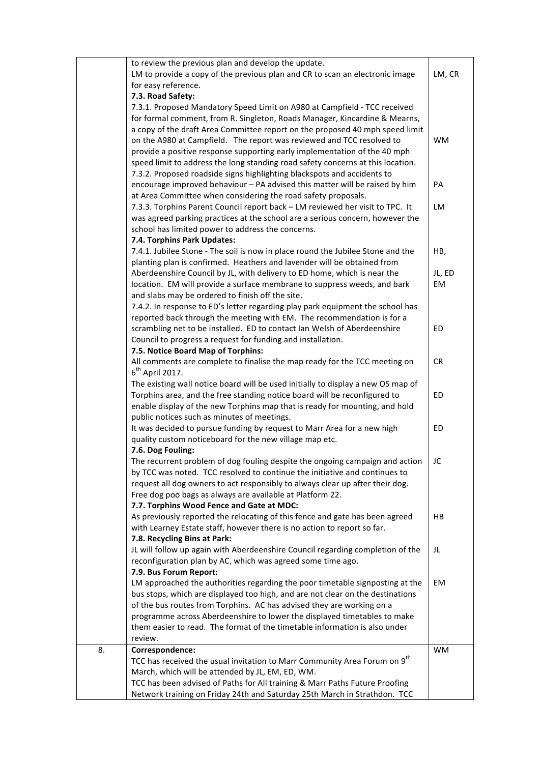|    | to review the previous plan and develop the update.                                   |           |
|----|---------------------------------------------------------------------------------------|-----------|
|    | LM to provide a copy of the previous plan and CR to scan an electronic image          | LM, CR    |
|    | for easy reference.                                                                   |           |
|    | 7.3. Road Safety:                                                                     |           |
|    | 7.3.1. Proposed Mandatory Speed Limit on A980 at Campfield - TCC received             |           |
|    |                                                                                       |           |
|    | for formal comment, from R. Singleton, Roads Manager, Kincardine & Mearns,            |           |
|    | a copy of the draft Area Committee report on the proposed 40 mph speed limit          |           |
|    | on the A980 at Campfield. The report was reviewed and TCC resolved to                 | <b>WM</b> |
|    | provide a positive response supporting early implementation of the 40 mph             |           |
|    | speed limit to address the long standing road safety concerns at this location.       |           |
|    | 7.3.2. Proposed roadside signs highlighting blackspots and accidents to               |           |
|    | encourage improved behaviour - PA advised this matter will be raised by him           | PA        |
|    | at Area Committee when considering the road safety proposals.                         |           |
|    | 7.3.3. Torphins Parent Council report back - LM reviewed her visit to TPC. It         | <b>LM</b> |
|    | was agreed parking practices at the school are a serious concern, however the         |           |
|    | school has limited power to address the concerns.                                     |           |
|    | 7.4. Torphins Park Updates:                                                           |           |
|    | 7.4.1. Jubilee Stone - The soil is now in place round the Jubilee Stone and the       | HB,       |
|    | planting plan is confirmed. Heathers and lavender will be obtained from               |           |
|    | Aberdeenshire Council by JL, with delivery to ED home, which is near the              | JL, ED    |
|    | location. EM will provide a surface membrane to suppress weeds, and bark              | EM        |
|    | and slabs may be ordered to finish off the site.                                      |           |
|    | 7.4.2. In response to ED's letter regarding play park equipment the school has        |           |
|    | reported back through the meeting with EM. The recommendation is for a                |           |
|    | scrambling net to be installed. ED to contact Ian Welsh of Aberdeenshire              | ED        |
|    | Council to progress a request for funding and installation.                           |           |
|    | 7.5. Notice Board Map of Torphins:                                                    |           |
|    | All comments are complete to finalise the map ready for the TCC meeting on            | <b>CR</b> |
|    | $6th$ April 2017.                                                                     |           |
|    | The existing wall notice board will be used initially to display a new OS map of      |           |
|    | Torphins area, and the free standing notice board will be reconfigured to             | ED        |
|    | enable display of the new Torphins map that is ready for mounting, and hold           |           |
|    | public notices such as minutes of meetings.                                           |           |
|    | It was decided to pursue funding by request to Marr Area for a new high               | ED        |
|    | quality custom noticeboard for the new village map etc.                               |           |
|    | 7.6. Dog Fouling:                                                                     |           |
|    | The recurrent problem of dog fouling despite the ongoing campaign and action          | JC        |
|    | by TCC was noted. TCC resolved to continue the initiative and continues to            |           |
|    | request all dog owners to act responsibly to always clear up after their dog.         |           |
|    | Free dog poo bags as always are available at Platform 22.                             |           |
|    | 7.7. Torphins Wood Fence and Gate at MDC:                                             |           |
|    | As previously reported the relocating of this fence and gate has been agreed          | HB        |
|    | with Learney Estate staff, however there is no action to report so far.               |           |
|    | 7.8. Recycling Bins at Park:                                                          |           |
|    | JL will follow up again with Aberdeenshire Council regarding completion of the        | JL        |
|    | reconfiguration plan by AC, which was agreed some time ago.                           |           |
|    |                                                                                       |           |
|    | 7.9. Bus Forum Report:                                                                |           |
|    | LM approached the authorities regarding the poor timetable signposting at the         | EM        |
|    | bus stops, which are displayed too high, and are not clear on the destinations        |           |
|    | of the bus routes from Torphins. AC has advised they are working on a                 |           |
|    | programme across Aberdeenshire to lower the displayed timetables to make              |           |
|    | them easier to read. The format of the timetable information is also under            |           |
|    | review.                                                                               |           |
| 8. | Correspondence:                                                                       | WM        |
|    | TCC has received the usual invitation to Marr Community Area Forum on 9 <sup>th</sup> |           |
|    | March, which will be attended by JL, EM, ED, WM.                                      |           |
|    | TCC has been advised of Paths for All training & Marr Paths Future Proofing           |           |
|    | Network training on Friday 24th and Saturday 25th March in Strathdon. TCC             |           |